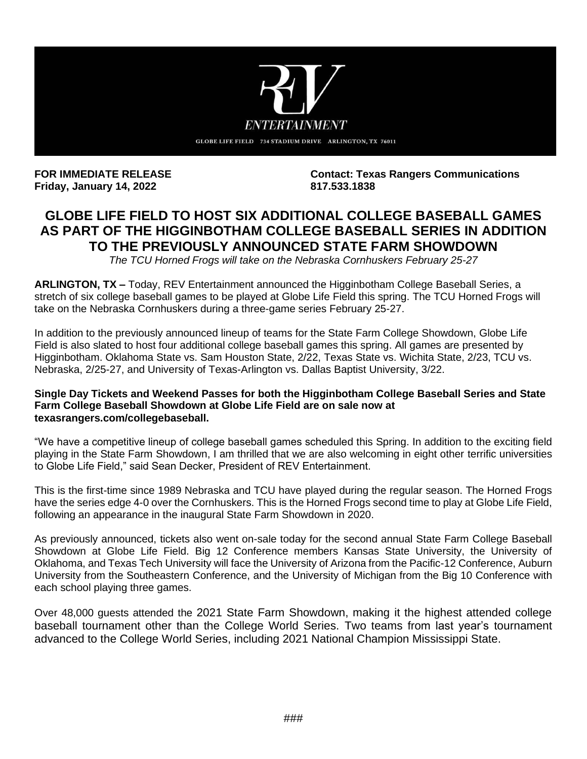

**Friday, January 14, 2022 817.533.1838**

FOR IMMEDIATE RELEASE **Contact: Texas Rangers Communications** 

# **GLOBE LIFE FIELD TO HOST SIX ADDITIONAL COLLEGE BASEBALL GAMES AS PART OF THE HIGGINBOTHAM COLLEGE BASEBALL SERIES IN ADDITION TO THE PREVIOUSLY ANNOUNCED STATE FARM SHOWDOWN**

*The TCU Horned Frogs will take on the Nebraska Cornhuskers February 25-27*

**ARLINGTON, TX –** Today, REV Entertainment announced the Higginbotham College Baseball Series, a stretch of six college baseball games to be played at Globe Life Field this spring. The TCU Horned Frogs will take on the Nebraska Cornhuskers during a three-game series February 25-27.

In addition to the previously announced lineup of teams for the State Farm College Showdown, Globe Life Field is also slated to host four additional college baseball games this spring. All games are presented by Higginbotham. Oklahoma State vs. Sam Houston State, 2/22, Texas State vs. Wichita State, 2/23, TCU vs. Nebraska, 2/25-27, and University of Texas-Arlington vs. Dallas Baptist University, 3/22.

## **Single Day Tickets and Weekend Passes for both the Higginbotham College Baseball Series and State Farm College Baseball Showdown at Globe Life Field are on sale now at texasrangers.com/collegebaseball.**

"We have a competitive lineup of college baseball games scheduled this Spring. In addition to the exciting field playing in the State Farm Showdown, I am thrilled that we are also welcoming in eight other terrific universities to Globe Life Field," said Sean Decker, President of REV Entertainment.

This is the first-time since 1989 Nebraska and TCU have played during the regular season. The Horned Frogs have the series edge 4-0 over the Cornhuskers. This is the Horned Frogs second time to play at Globe Life Field, following an appearance in the inaugural State Farm Showdown in 2020.

As previously announced, tickets also went on-sale today for the second annual State Farm College Baseball Showdown at Globe Life Field. Big 12 Conference members Kansas State University, the University of Oklahoma, and Texas Tech University will face the University of Arizona from the Pacific-12 Conference, Auburn University from the Southeastern Conference, and the University of Michigan from the Big 10 Conference with each school playing three games.

Over 48,000 guests attended the 2021 State Farm Showdown, making it the highest attended college baseball tournament other than the College World Series. Two teams from last year's tournament advanced to the College World Series, including 2021 National Champion Mississippi State.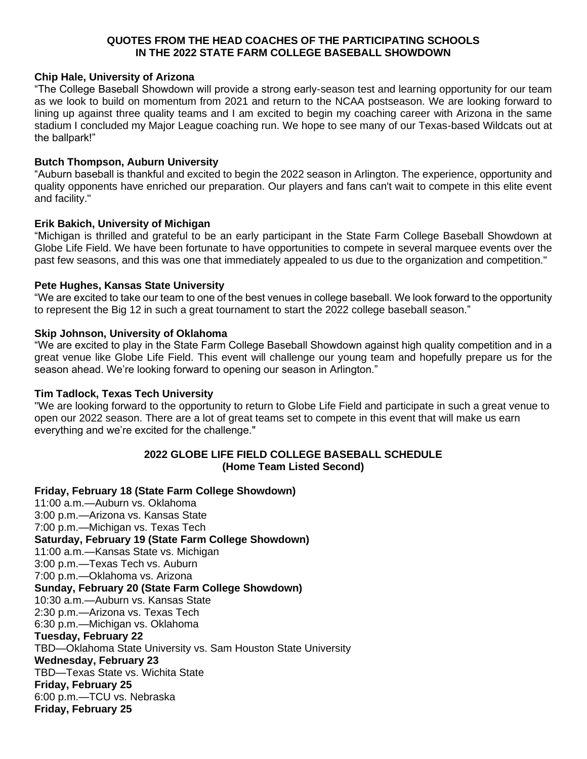# **QUOTES FROM THE HEAD COACHES OF THE PARTICIPATING SCHOOLS IN THE 2022 STATE FARM COLLEGE BASEBALL SHOWDOWN**

# **Chip Hale, University of Arizona**

"The College Baseball Showdown will provide a strong early-season test and learning opportunity for our team as we look to build on momentum from 2021 and return to the NCAA postseason. We are looking forward to lining up against three quality teams and I am excited to begin my coaching career with Arizona in the same stadium I concluded my Major League coaching run. We hope to see many of our Texas-based Wildcats out at the ballpark!"

# **Butch Thompson, Auburn University**

"Auburn baseball is thankful and excited to begin the 2022 season in Arlington. The experience, opportunity and quality opponents have enriched our preparation. Our players and fans can't wait to compete in this elite event and facility."

# **Erik Bakich, University of Michigan**

"Michigan is thrilled and grateful to be an early participant in the State Farm College Baseball Showdown at Globe Life Field. We have been fortunate to have opportunities to compete in several marquee events over the past few seasons, and this was one that immediately appealed to us due to the organization and competition."

## **Pete Hughes, Kansas State University**

"We are excited to take our team to one of the best venues in college baseball. We look forward to the opportunity to represent the Big 12 in such a great tournament to start the 2022 college baseball season."

# **Skip Johnson, University of Oklahoma**

"We are excited to play in the State Farm College Baseball Showdown against high quality competition and in a great venue like Globe Life Field. This event will challenge our young team and hopefully prepare us for the season ahead. We're looking forward to opening our season in Arlington."

# **Tim Tadlock, Texas Tech University**

"We are looking forward to the opportunity to return to Globe Life Field and participate in such a great venue to open our 2022 season. There are a lot of great teams set to compete in this event that will make us earn everything and we're excited for the challenge."

# **2022 GLOBE LIFE FIELD COLLEGE BASEBALL SCHEDULE (Home Team Listed Second)**

# **Friday, February 18 (State Farm College Showdown)**

11:00 a.m.—Auburn vs. Oklahoma 3:00 p.m.—Arizona vs. Kansas State 7:00 p.m.—Michigan vs. Texas Tech **Saturday, February 19 (State Farm College Showdown)** 11:00 a.m.—Kansas State vs. Michigan 3:00 p.m.—Texas Tech vs. Auburn 7:00 p.m.—Oklahoma vs. Arizona **Sunday, February 20 (State Farm College Showdown)** 10:30 a.m.—Auburn vs. Kansas State 2:30 p.m.—Arizona vs. Texas Tech 6:30 p.m.—Michigan vs. Oklahoma **Tuesday, February 22** TBD—Oklahoma State University vs. Sam Houston State University **Wednesday, February 23** TBD—Texas State vs. Wichita State **Friday, February 25**  6:00 p.m.—TCU vs. Nebraska **Friday, February 25**